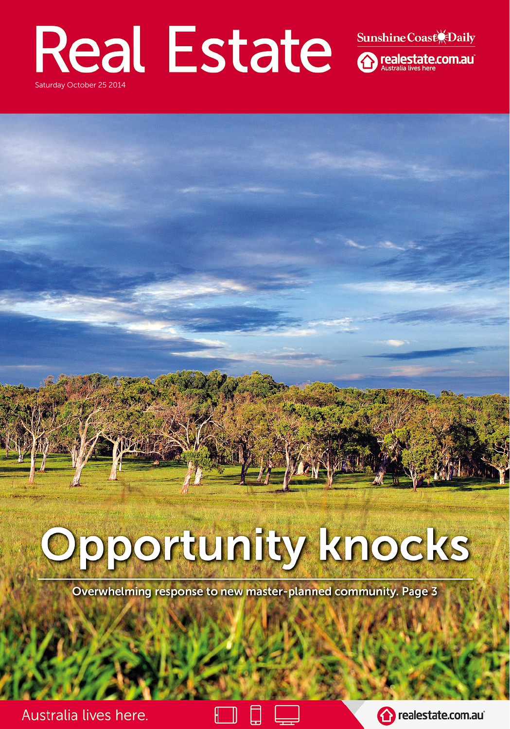### **Real Estate** Sunshine Coast<sup>(</sup>Daily Saturday October 25 2014

# Opportunity knocks

#### Overwhelming response to new master-planned community. Page 3

#### Australia lives here.





realestate.com.au